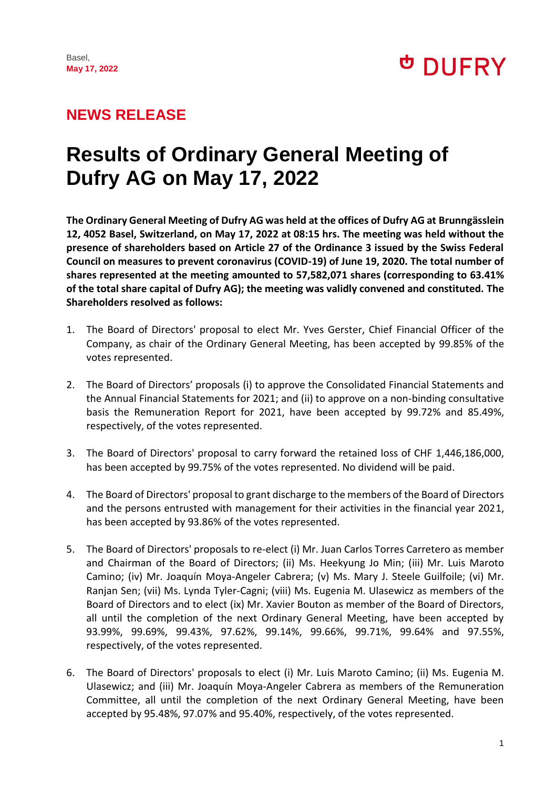**DUFRY** 

## **NEWS RELEASE**

# **Results of Ordinary General Meeting of Dufry AG on May 17, 2022**

**The Ordinary General Meeting of Dufry AG was held at the offices of Dufry AG at Brunngässlein 12, 4052 Basel, Switzerland, on May 17, 2022 at 08:15 hrs. The meeting was held without the presence of shareholders based on Article 27 of the Ordinance 3 issued by the Swiss Federal Council on measures to prevent coronavirus (COVID-19) of June 19, 2020. The total number of shares represented at the meeting amounted to 57,582,071 shares (corresponding to 63.41% of the total share capital of Dufry AG); the meeting was validly convened and constituted. The Shareholders resolved as follows:**

- 1. The Board of Directors' proposal to elect Mr. Yves Gerster, Chief Financial Officer of the Company, as chair of the Ordinary General Meeting, has been accepted by 99.85% of the votes represented.
- 2. The Board of Directors' proposals (i) to approve the Consolidated Financial Statements and the Annual Financial Statements for 2021; and (ii) to approve on a non-binding consultative basis the Remuneration Report for 2021, have been accepted by 99.72% and 85.49%, respectively, of the votes represented.
- 3. The Board of Directors' proposal to carry forward the retained loss of CHF 1,446,186,000, has been accepted by 99.75% of the votes represented. No dividend will be paid.
- 4. The Board of Directors' proposal to grant discharge to the members of the Board of Directors and the persons entrusted with management for their activities in the financial year 2021, has been accepted by 93.86% of the votes represented.
- 5. The Board of Directors' proposals to re-elect (i) Mr. Juan Carlos Torres Carretero as member and Chairman of the Board of Directors; (ii) Ms. Heekyung Jo Min; (iii) Mr. Luis Maroto Camino; (iv) Mr. Joaquín Moya-Angeler Cabrera; (v) Ms. Mary J. Steele Guilfoile; (vi) Mr. Ranjan Sen; (vii) Ms. Lynda Tyler-Cagni; (viii) Ms. Eugenia M. Ulasewicz as members of the Board of Directors and to elect (ix) Mr. Xavier Bouton as member of the Board of Directors, all until the completion of the next Ordinary General Meeting, have been accepted by 93.99%, 99.69%, 99.43%, 97.62%, 99.14%, 99.66%, 99.71%, 99.64% and 97.55%, respectively, of the votes represented.
- 6. The Board of Directors' proposals to elect (i) Mr. Luis Maroto Camino; (ii) Ms. Eugenia M. Ulasewicz; and (iii) Mr. Joaquín Moya-Angeler Cabrera as members of the Remuneration Committee, all until the completion of the next Ordinary General Meeting, have been accepted by 95.48%, 97.07% and 95.40%, respectively, of the votes represented.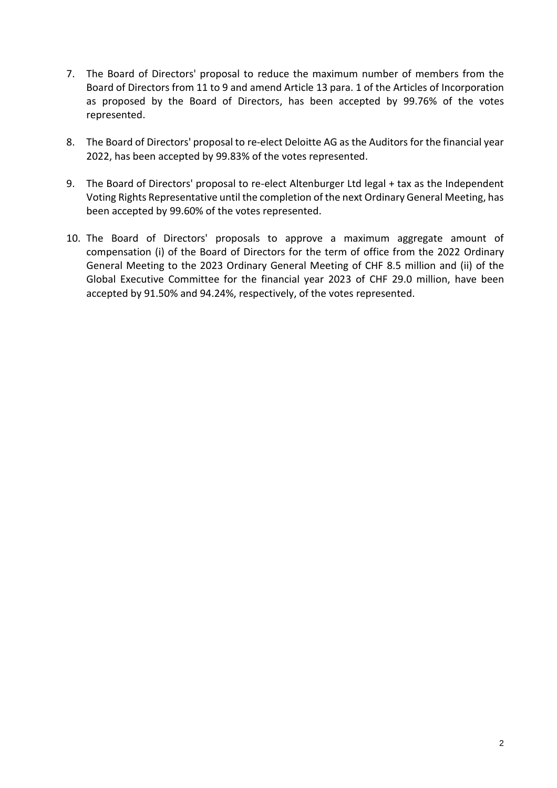- 7. The Board of Directors' proposal to reduce the maximum number of members from the Board of Directors from 11 to 9 and amend Article 13 para. 1 of the Articles of Incorporation as proposed by the Board of Directors, has been accepted by 99.76% of the votes represented.
- 8. The Board of Directors' proposal to re-elect Deloitte AG as the Auditors for the financial year 2022, has been accepted by 99.83% of the votes represented.
- 9. The Board of Directors' proposal to re-elect Altenburger Ltd legal + tax as the Independent Voting Rights Representative until the completion of the next Ordinary General Meeting, has been accepted by 99.60% of the votes represented.
- 10. The Board of Directors' proposals to approve a maximum aggregate amount of compensation (i) of the Board of Directors for the term of office from the 2022 Ordinary General Meeting to the 2023 Ordinary General Meeting of CHF 8.5 million and (ii) of the Global Executive Committee for the financial year 2023 of CHF 29.0 million, have been accepted by 91.50% and 94.24%, respectively, of the votes represented.